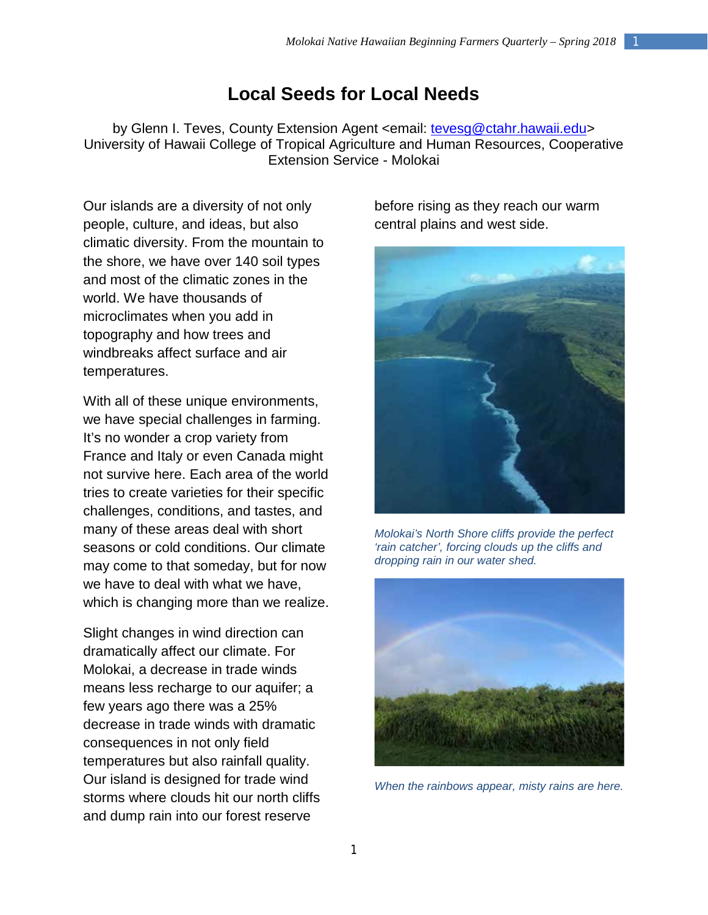## **Local Seeds for Local Needs**

by Glenn I. Teves, County Extension Agent <email: [tevesg@ctahr.hawaii.edu>](mailto:tevesg@ctahr.hawaii.edu) University of Hawaii College of Tropical Agriculture and Human Resources, Cooperative Extension Service - Molokai

Our islands are a diversity of not only people, culture, and ideas, but also climatic diversity. From the mountain to the shore, we have over 140 soil types and most of the climatic zones in the world. We have thousands of microclimates when you add in topography and how trees and windbreaks affect surface and air temperatures.

With all of these unique environments, we have special challenges in farming. It's no wonder a crop variety from France and Italy or even Canada might not survive here. Each area of the world tries to create varieties for their specific challenges, conditions, and tastes, and many of these areas deal with short seasons or cold conditions. Our climate may come to that someday, but for now we have to deal with what we have, which is changing more than we realize.

Slight changes in wind direction can dramatically affect our climate. For Molokai, a decrease in trade winds means less recharge to our aquifer; a few years ago there was a 25% decrease in trade winds with dramatic consequences in not only field temperatures but also rainfall quality. Our island is designed for trade wind storms where clouds hit our north cliffs and dump rain into our forest reserve

before rising as they reach our warm central plains and west side.



*Molokai's North Shore cliffs provide the perfect 'rain catcher', forcing clouds up the cliffs and dropping rain in our water shed.* 



*When the rainbows appear, misty rains are here.*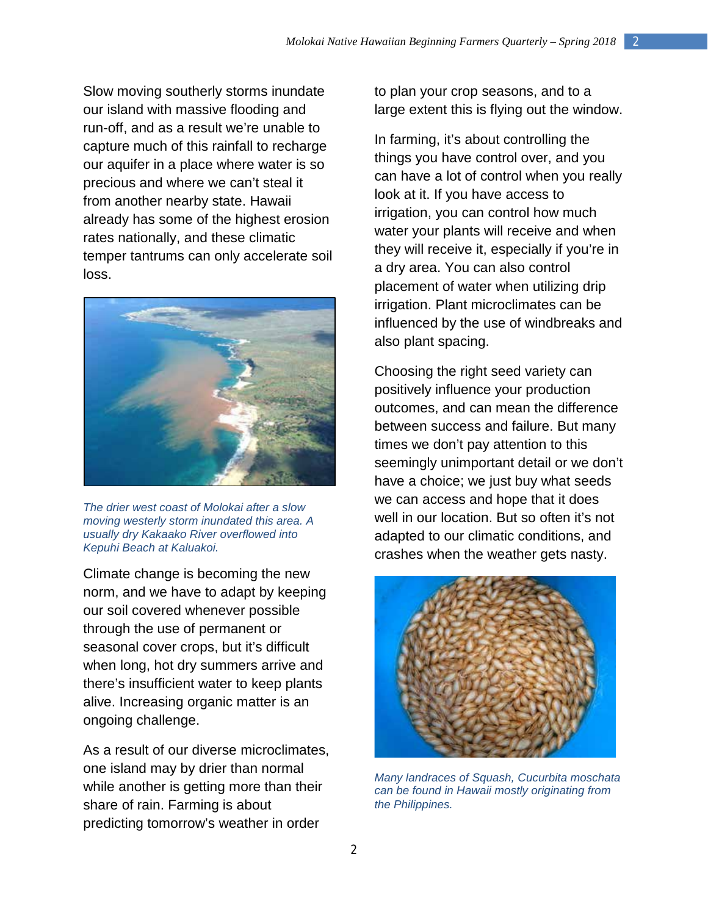Slow moving southerly storms inundate our island with massive flooding and run-off, and as a result we're unable to capture much of this rainfall to recharge our aquifer in a place where water is so precious and where we can't steal it from another nearby state. Hawaii already has some of the highest erosion rates nationally, and these climatic temper tantrums can only accelerate soil loss.



*The drier west coast of Molokai after a slow moving westerly storm inundated this area. A usually dry Kakaako River overflowed into Kepuhi Beach at Kaluakoi.* 

Climate change is becoming the new norm, and we have to adapt by keeping our soil covered whenever possible through the use of permanent or seasonal cover crops, but it's difficult when long, hot dry summers arrive and there's insufficient water to keep plants alive. Increasing organic matter is an ongoing challenge.

As a result of our diverse microclimates, one island may by drier than normal while another is getting more than their share of rain. Farming is about predicting tomorrow's weather in order

to plan your crop seasons, and to a large extent this is flying out the window.

In farming, it's about controlling the things you have control over, and you can have a lot of control when you really look at it. If you have access to irrigation, you can control how much water your plants will receive and when they will receive it, especially if you're in a dry area. You can also control placement of water when utilizing drip irrigation. Plant microclimates can be influenced by the use of windbreaks and also plant spacing.

Choosing the right seed variety can positively influence your production outcomes, and can mean the difference between success and failure. But many times we don't pay attention to this seemingly unimportant detail or we don't have a choice; we just buy what seeds we can access and hope that it does well in our location. But so often it's not adapted to our climatic conditions, and crashes when the weather gets nasty.



*Many landraces of Squash, Cucurbita moschata can be found in Hawaii mostly originating from the Philippines.*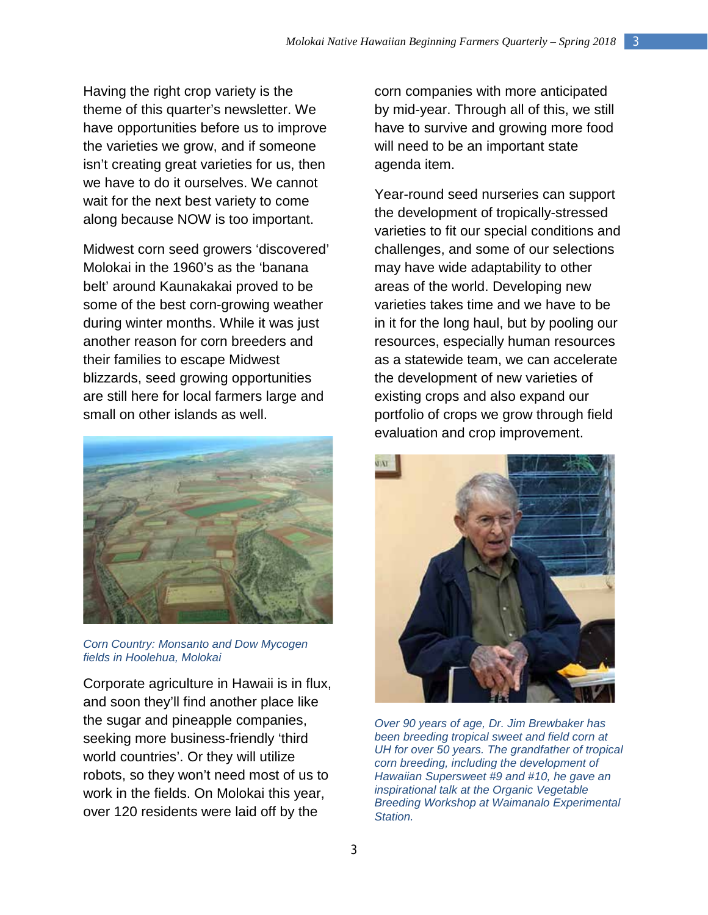Having the right crop variety is the theme of this quarter's newsletter. We have opportunities before us to improve the varieties we grow, and if someone isn't creating great varieties for us, then we have to do it ourselves. We cannot wait for the next best variety to come along because NOW is too important.

Midwest corn seed growers 'discovered' Molokai in the 1960's as the 'banana belt' around Kaunakakai proved to be some of the best corn-growing weather during winter months. While it was just another reason for corn breeders and their families to escape Midwest blizzards, seed growing opportunities are still here for local farmers large and small on other islands as well.



*Corn Country: Monsanto and Dow Mycogen fields in Hoolehua, Molokai*

Corporate agriculture in Hawaii is in flux, and soon they'll find another place like the sugar and pineapple companies, seeking more business-friendly 'third world countries'. Or they will utilize robots, so they won't need most of us to work in the fields. On Molokai this year, over 120 residents were laid off by the

corn companies with more anticipated by mid-year. Through all of this, we still have to survive and growing more food will need to be an important state agenda item.

Year-round seed nurseries can support the development of tropically-stressed varieties to fit our special conditions and challenges, and some of our selections may have wide adaptability to other areas of the world. Developing new varieties takes time and we have to be in it for the long haul, but by pooling our resources, especially human resources as a statewide team, we can accelerate the development of new varieties of existing crops and also expand our portfolio of crops we grow through field evaluation and crop improvement.



*Over 90 years of age, Dr. Jim Brewbaker has been breeding tropical sweet and field corn at UH for over 50 years. The grandfather of tropical corn breeding, including the development of Hawaiian Supersweet #9 and #10, he gave an inspirational talk at the Organic Vegetable Breeding Workshop at Waimanalo Experimental Station.*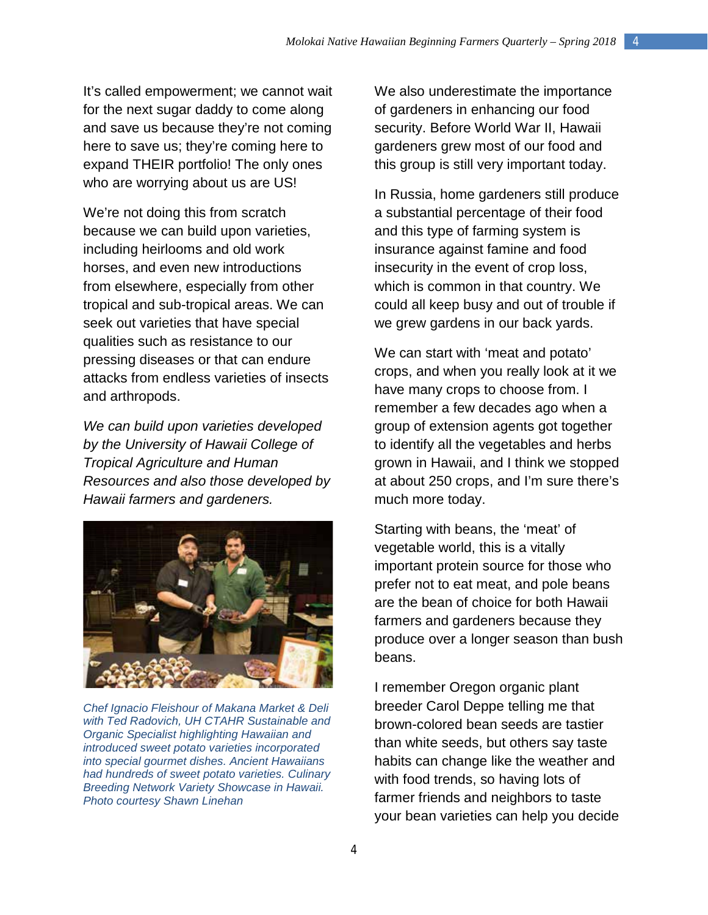It's called empowerment; we cannot wait for the next sugar daddy to come along and save us because they're not coming here to save us; they're coming here to expand THEIR portfolio! The only ones who are worrying about us are US!

We're not doing this from scratch because we can build upon varieties, including heirlooms and old work horses, and even new introductions from elsewhere, especially from other tropical and sub-tropical areas. We can seek out varieties that have special qualities such as resistance to our pressing diseases or that can endure attacks from endless varieties of insects and arthropods.

*We can build upon varieties developed by the University of Hawaii College of Tropical Agriculture and Human Resources and also those developed by Hawaii farmers and gardeners.* 



*Chef Ignacio Fleishour of Makana Market & Deli with Ted Radovich, UH CTAHR Sustainable and Organic Specialist highlighting Hawaiian and introduced sweet potato varieties incorporated into special gourmet dishes. Ancient Hawaiians had hundreds of sweet potato varieties. Culinary Breeding Network Variety Showcase in Hawaii. Photo courtesy Shawn Linehan*

We also underestimate the importance of gardeners in enhancing our food security. Before World War II, Hawaii gardeners grew most of our food and this group is still very important today.

In Russia, home gardeners still produce a substantial percentage of their food and this type of farming system is insurance against famine and food insecurity in the event of crop loss, which is common in that country. We could all keep busy and out of trouble if we grew gardens in our back yards.

We can start with 'meat and potato' crops, and when you really look at it we have many crops to choose from. I remember a few decades ago when a group of extension agents got together to identify all the vegetables and herbs grown in Hawaii, and I think we stopped at about 250 crops, and I'm sure there's much more today.

Starting with beans, the 'meat' of vegetable world, this is a vitally important protein source for those who prefer not to eat meat, and pole beans are the bean of choice for both Hawaii farmers and gardeners because they produce over a longer season than bush beans.

I remember Oregon organic plant breeder Carol Deppe telling me that brown-colored bean seeds are tastier than white seeds, but others say taste habits can change like the weather and with food trends, so having lots of farmer friends and neighbors to taste your bean varieties can help you decide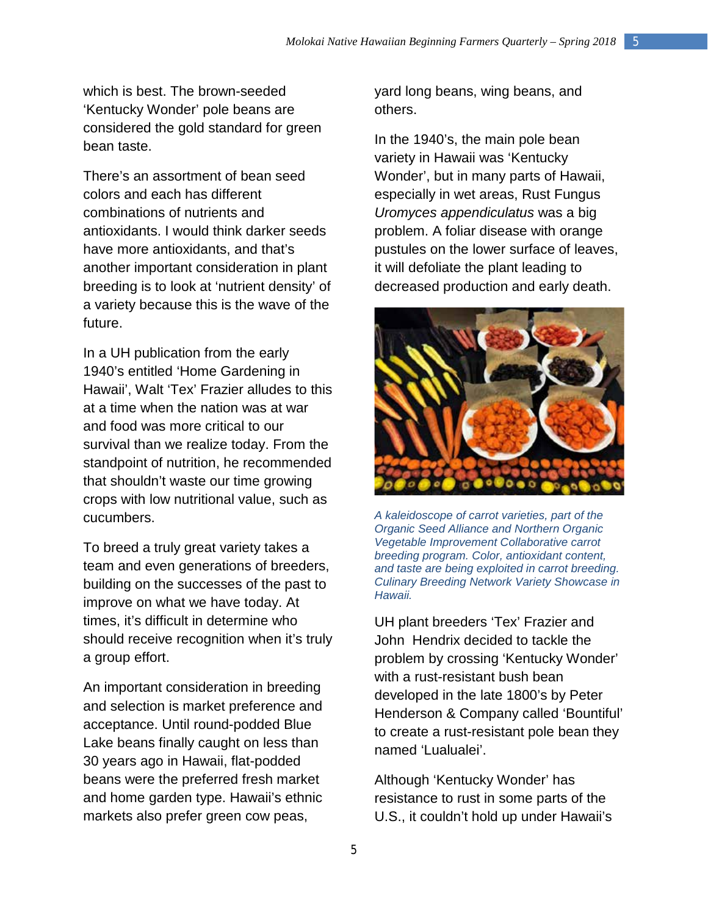which is best. The brown-seeded 'Kentucky Wonder' pole beans are considered the gold standard for green bean taste.

There's an assortment of bean seed colors and each has different combinations of nutrients and antioxidants. I would think darker seeds have more antioxidants, and that's another important consideration in plant breeding is to look at 'nutrient density' of a variety because this is the wave of the future.

In a UH publication from the early 1940's entitled 'Home Gardening in Hawaii', Walt 'Tex' Frazier alludes to this at a time when the nation was at war and food was more critical to our survival than we realize today. From the standpoint of nutrition, he recommended that shouldn't waste our time growing crops with low nutritional value, such as cucumbers.

To breed a truly great variety takes a team and even generations of breeders, building on the successes of the past to improve on what we have today. At times, it's difficult in determine who should receive recognition when it's truly a group effort.

An important consideration in breeding and selection is market preference and acceptance. Until round-podded Blue Lake beans finally caught on less than 30 years ago in Hawaii, flat-podded beans were the preferred fresh market and home garden type. Hawaii's ethnic markets also prefer green cow peas,

yard long beans, wing beans, and others.

In the 1940's, the main pole bean variety in Hawaii was 'Kentucky Wonder', but in many parts of Hawaii, especially in wet areas, Rust Fungus *Uromyces appendiculatus* was a big problem. A foliar disease with orange pustules on the lower surface of leaves, it will defoliate the plant leading to decreased production and early death.



*A kaleidoscope of carrot varieties, part of the Organic Seed Alliance and Northern Organic Vegetable Improvement Collaborative carrot breeding program. Color, antioxidant content, and taste are being exploited in carrot breeding. Culinary Breeding Network Variety Showcase in Hawaii.* 

UH plant breeders 'Tex' Frazier and John Hendrix decided to tackle the problem by crossing 'Kentucky Wonder' with a rust-resistant bush bean developed in the late 1800's by Peter Henderson & Company called 'Bountiful' to create a rust-resistant pole bean they named 'Lualualei'.

Although 'Kentucky Wonder' has resistance to rust in some parts of the U.S., it couldn't hold up under Hawaii's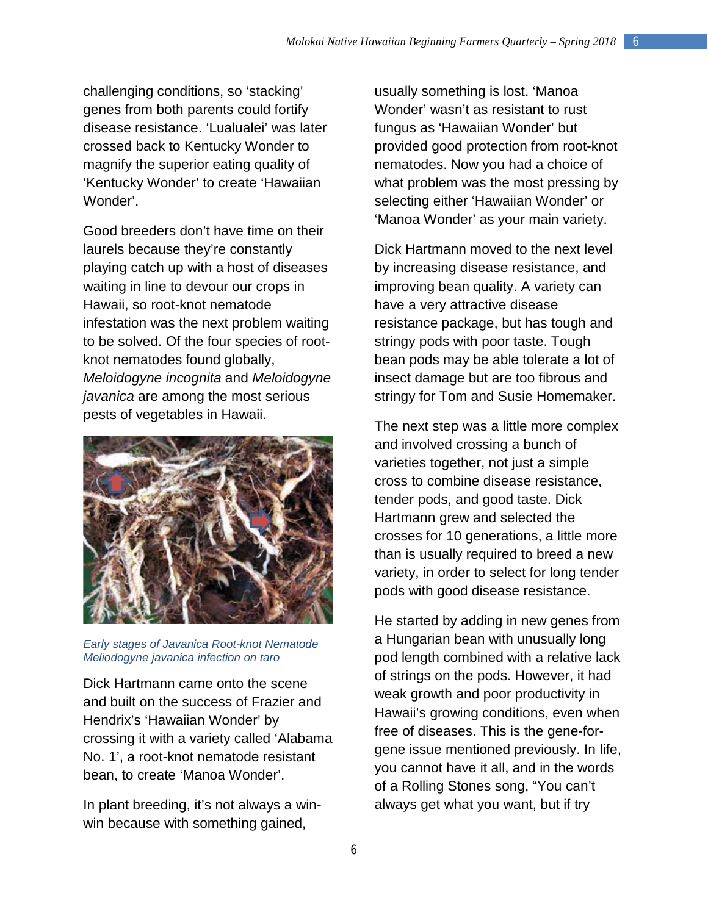challenging conditions, so 'stacking' genes from both parents could fortify disease resistance. 'Lualualei' was later crossed back to Kentucky Wonder to magnify the superior eating quality of 'Kentucky Wonder' to create 'Hawaiian Wonder'.

Good breeders don't have time on their laurels because they're constantly playing catch up with a host of diseases waiting in line to devour our crops in Hawaii, so root-knot nematode infestation was the next problem waiting to be solved. Of the four species of rootknot nematodes found globally, *Meloidogyne incognita* and *Meloidogyne javanica* are among the most serious pests of vegetables in Hawaii.



*Early stages of Javanica Root-knot Nematode Meliodogyne javanica infection on taro*

Dick Hartmann came onto the scene and built on the success of Frazier and Hendrix's 'Hawaiian Wonder' by crossing it with a variety called 'Alabama No. 1', a root-knot nematode resistant bean, to create 'Manoa Wonder'.

In plant breeding, it's not always a winwin because with something gained,

usually something is lost. 'Manoa Wonder' wasn't as resistant to rust fungus as 'Hawaiian Wonder' but provided good protection from root-knot nematodes. Now you had a choice of what problem was the most pressing by selecting either 'Hawaiian Wonder' or 'Manoa Wonder' as your main variety.

Dick Hartmann moved to the next level by increasing disease resistance, and improving bean quality. A variety can have a very attractive disease resistance package, but has tough and stringy pods with poor taste. Tough bean pods may be able tolerate a lot of insect damage but are too fibrous and stringy for Tom and Susie Homemaker.

The next step was a little more complex and involved crossing a bunch of varieties together, not just a simple cross to combine disease resistance, tender pods, and good taste. Dick Hartmann grew and selected the crosses for 10 generations, a little more than is usually required to breed a new variety, in order to select for long tender pods with good disease resistance.

He started by adding in new genes from a Hungarian bean with unusually long pod length combined with a relative lack of strings on the pods. However, it had weak growth and poor productivity in Hawaii's growing conditions, even when free of diseases. This is the gene-forgene issue mentioned previously. In life, you cannot have it all, and in the words of a Rolling Stones song, "You can't always get what you want, but if try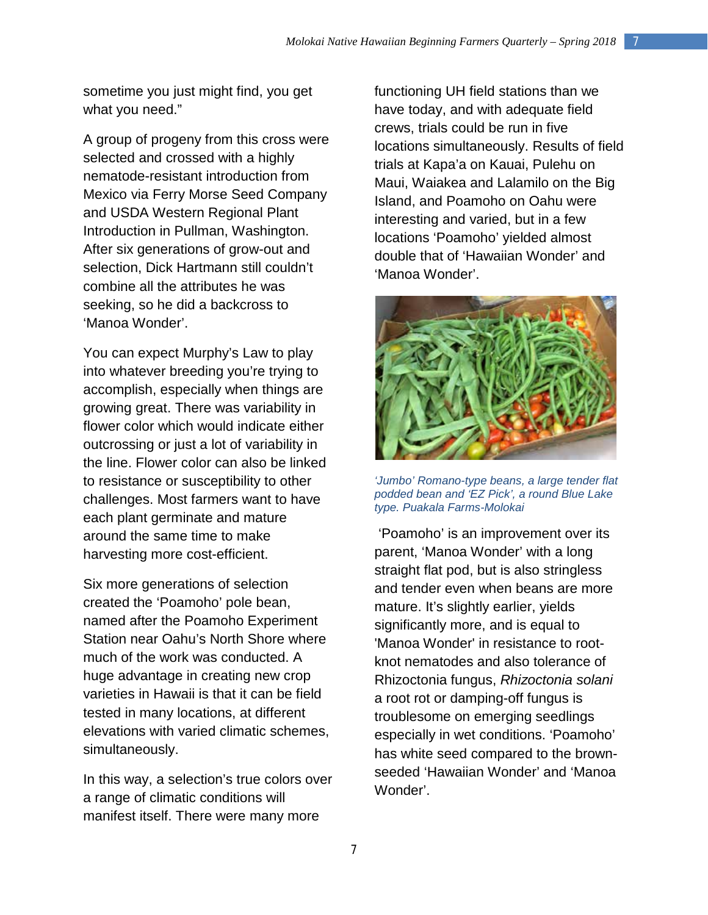sometime you just might find, you get what you need."

A group of progeny from this cross were selected and crossed with a highly nematode-resistant introduction from Mexico via Ferry Morse Seed Company and USDA Western Regional Plant Introduction in Pullman, Washington. After six generations of grow-out and selection, Dick Hartmann still couldn't combine all the attributes he was seeking, so he did a backcross to 'Manoa Wonder'.

You can expect Murphy's Law to play into whatever breeding you're trying to accomplish, especially when things are growing great. There was variability in flower color which would indicate either outcrossing or just a lot of variability in the line. Flower color can also be linked to resistance or susceptibility to other challenges. Most farmers want to have each plant germinate and mature around the same time to make harvesting more cost-efficient.

Six more generations of selection created the 'Poamoho' pole bean, named after the Poamoho Experiment Station near Oahu's North Shore where much of the work was conducted. A huge advantage in creating new crop varieties in Hawaii is that it can be field tested in many locations, at different elevations with varied climatic schemes, simultaneously.

In this way, a selection's true colors over a range of climatic conditions will manifest itself. There were many more

functioning UH field stations than we have today, and with adequate field crews, trials could be run in five locations simultaneously. Results of field trials at Kapa'a on Kauai, Pulehu on Maui, Waiakea and Lalamilo on the Big Island, and Poamoho on Oahu were interesting and varied, but in a few locations 'Poamoho' yielded almost double that of 'Hawaiian Wonder' and 'Manoa Wonder'.



*'Jumbo' Romano-type beans, a large tender flat podded bean and 'EZ Pick', a round Blue Lake type. Puakala Farms-Molokai* 

 'Poamoho' is an improvement over its parent, 'Manoa Wonder' with a long straight flat pod, but is also stringless and tender even when beans are more mature. It's slightly earlier, yields significantly more, and is equal to 'Manoa Wonder' in resistance to rootknot nematodes and also tolerance of Rhizoctonia fungus, *Rhizoctonia solani* a root rot or damping-off fungus is troublesome on emerging seedlings especially in wet conditions. 'Poamoho' has white seed compared to the brownseeded 'Hawaiian Wonder' and 'Manoa Wonder'.

7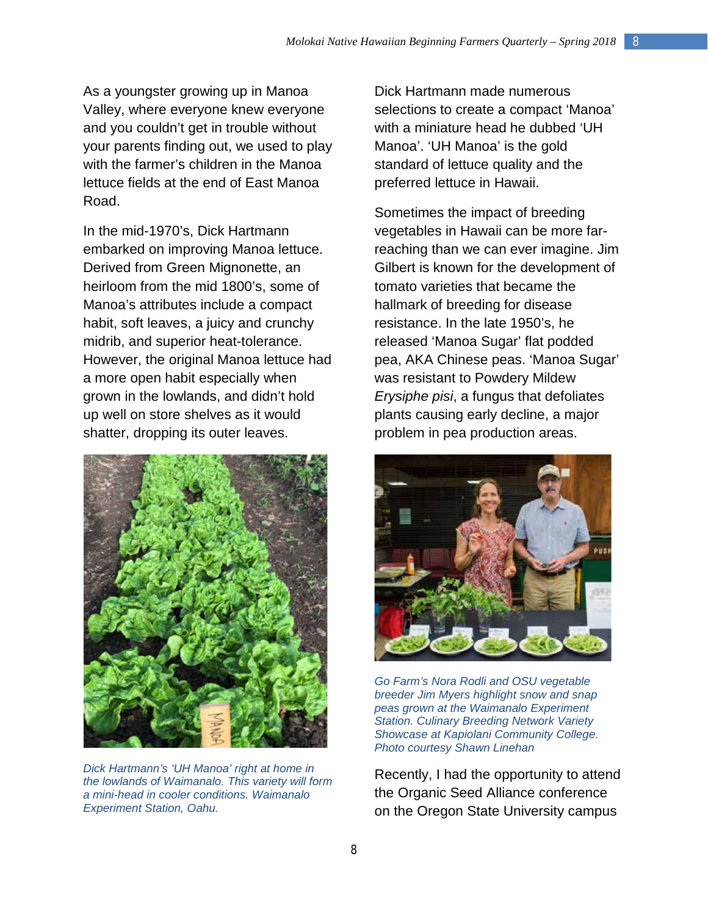As a youngster growing up in Manoa Valley, where everyone knew everyone and you couldn't get in trouble without your parents finding out, we used to play with the farmer's children in the Manoa lettuce fields at the end of East Manoa Road.

In the mid-1970's, Dick Hartmann embarked on improving Manoa lettuce. Derived from Green Mignonette, an heirloom from the mid 1800's, some of Manoa's attributes include a compact habit, soft leaves, a juicy and crunchy midrib, and superior heat-tolerance. However, the original Manoa lettuce had a more open habit especially when grown in the lowlands, and didn't hold up well on store shelves as it would shatter, dropping its outer leaves.



*Dick Hartmann's 'UH Manoa' right at home in the lowlands of Waimanalo. This variety will form a mini-head in cooler conditions. Waimanalo Experiment Station, Oahu.* 

Dick Hartmann made numerous selections to create a compact 'Manoa' with a miniature head he dubbed 'UH Manoa'. 'UH Manoa' is the gold standard of lettuce quality and the preferred lettuce in Hawaii.

Sometimes the impact of breeding vegetables in Hawaii can be more farreaching than we can ever imagine. Jim Gilbert is known for the development of tomato varieties that became the hallmark of breeding for disease resistance. In the late 1950's, he released 'Manoa Sugar' flat podded pea, AKA Chinese peas. 'Manoa Sugar' was resistant to Powdery Mildew *Erysiphe pisi*, a fungus that defoliates plants causing early decline, a major problem in pea production areas.



*Go Farm's Nora Rodli and OSU vegetable breeder Jim Myers highlight snow and snap peas grown at the Waimanalo Experiment Station. Culinary Breeding Network Variety Showcase at Kapiolani Community College. Photo courtesy Shawn Linehan*

Recently, I had the opportunity to attend the Organic Seed Alliance conference on the Oregon State University campus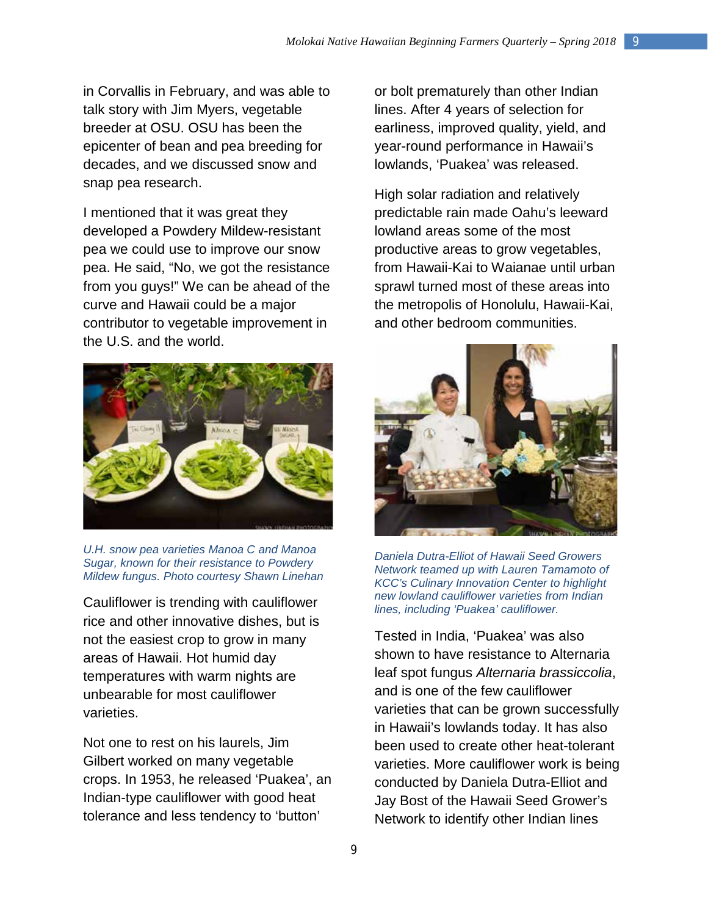in Corvallis in February, and was able to talk story with Jim Myers, vegetable breeder at OSU. OSU has been the epicenter of bean and pea breeding for decades, and we discussed snow and snap pea research.

I mentioned that it was great they developed a Powdery Mildew-resistant pea we could use to improve our snow pea. He said, "No, we got the resistance from you guys!" We can be ahead of the curve and Hawaii could be a major contributor to vegetable improvement in the U.S. and the world.



*U.H. snow pea varieties Manoa C and Manoa Sugar, known for their resistance to Powdery Mildew fungus. Photo courtesy Shawn Linehan*

Cauliflower is trending with cauliflower rice and other innovative dishes, but is not the easiest crop to grow in many areas of Hawaii. Hot humid day temperatures with warm nights are unbearable for most cauliflower varieties.

Not one to rest on his laurels, Jim Gilbert worked on many vegetable crops. In 1953, he released 'Puakea', an Indian-type cauliflower with good heat tolerance and less tendency to 'button'

or bolt prematurely than other Indian lines. After 4 years of selection for earliness, improved quality, yield, and year-round performance in Hawaii's lowlands, 'Puakea' was released.

High solar radiation and relatively predictable rain made Oahu's leeward lowland areas some of the most productive areas to grow vegetables, from Hawaii-Kai to Waianae until urban sprawl turned most of these areas into the metropolis of Honolulu, Hawaii-Kai, and other bedroom communities.



*Daniela Dutra-Elliot of Hawaii Seed Growers Network teamed up with Lauren Tamamoto of KCC's Culinary Innovation Center to highlight new lowland cauliflower varieties from Indian lines, including 'Puakea' cauliflower.*

Tested in India, 'Puakea' was also shown to have resistance to Alternaria leaf spot fungus *Alternaria brassiccolia*, and is one of the few cauliflower varieties that can be grown successfully in Hawaii's lowlands today. It has also been used to create other heat-tolerant varieties. More cauliflower work is being conducted by Daniela Dutra-Elliot and Jay Bost of the Hawaii Seed Grower's Network to identify other Indian lines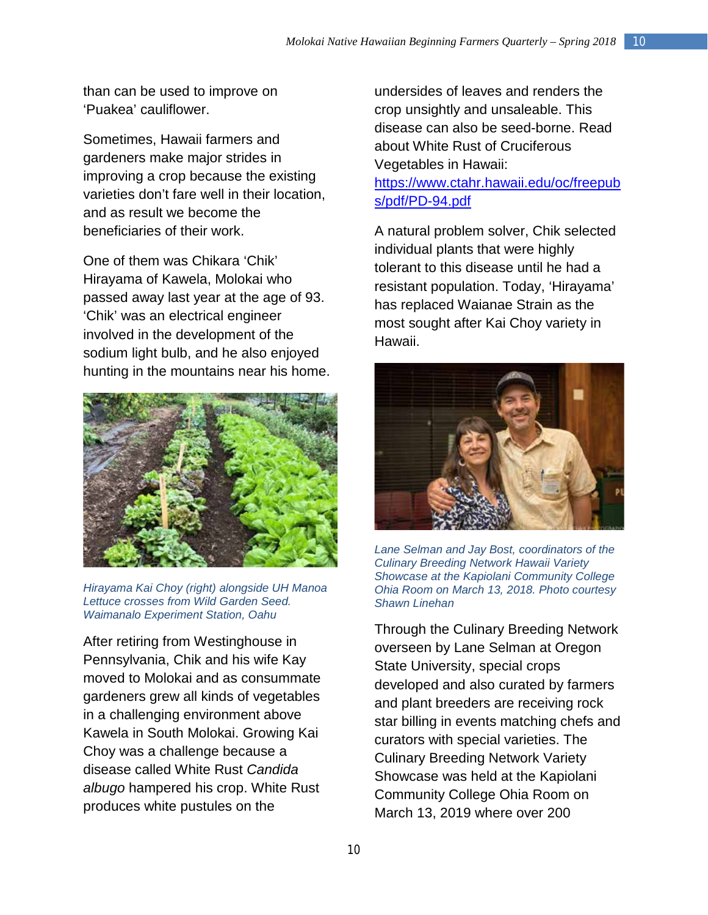than can be used to improve on 'Puakea' cauliflower.

Sometimes, Hawaii farmers and gardeners make major strides in improving a crop because the existing varieties don't fare well in their location, and as result we become the beneficiaries of their work.

One of them was Chikara 'Chik' Hirayama of Kawela, Molokai who passed away last year at the age of 93. 'Chik' was an electrical engineer involved in the development of the sodium light bulb, and he also enjoyed hunting in the mountains near his home.



*Hirayama Kai Choy (right) alongside UH Manoa Lettuce crosses from Wild Garden Seed. Waimanalo Experiment Station, Oahu*

After retiring from Westinghouse in Pennsylvania, Chik and his wife Kay moved to Molokai and as consummate gardeners grew all kinds of vegetables in a challenging environment above Kawela in South Molokai. Growing Kai Choy was a challenge because a disease called White Rust *Candida albugo* hampered his crop. White Rust produces white pustules on the

undersides of leaves and renders the crop unsightly and unsaleable. This disease can also be seed-borne. Read about White Rust of Cruciferous Vegetables in Hawaii: [https://www.ctahr.hawaii.edu/oc/freepub](https://www.ctahr.hawaii.edu/oc/freepubs/pdf/PD-94.pdf) [s/pdf/PD-94.pdf](https://www.ctahr.hawaii.edu/oc/freepubs/pdf/PD-94.pdf) 

A natural problem solver, Chik selected individual plants that were highly tolerant to this disease until he had a resistant population. Today, 'Hirayama' has replaced Waianae Strain as the most sought after Kai Choy variety in Hawaii.



*Lane Selman and Jay Bost, coordinators of the Culinary Breeding Network Hawaii Variety Showcase at the Kapiolani Community College Ohia Room on March 13, 2018. Photo courtesy Shawn Linehan*

Through the Culinary Breeding Network overseen by Lane Selman at Oregon State University, special crops developed and also curated by farmers and plant breeders are receiving rock star billing in events matching chefs and curators with special varieties. The Culinary Breeding Network Variety Showcase was held at the Kapiolani Community College Ohia Room on March 13, 2019 where over 200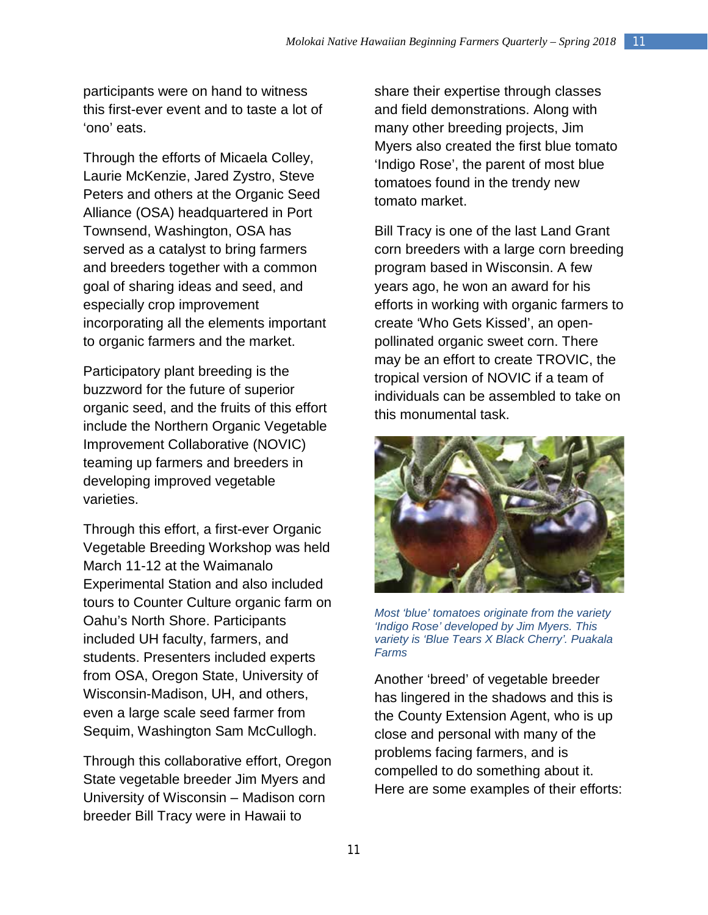participants were on hand to witness this first-ever event and to taste a lot of 'ono' eats.

Through the efforts of Micaela Colley, Laurie McKenzie, Jared Zystro, Steve Peters and others at the Organic Seed Alliance (OSA) headquartered in Port Townsend, Washington, OSA has served as a catalyst to bring farmers and breeders together with a common goal of sharing ideas and seed, and especially crop improvement incorporating all the elements important to organic farmers and the market.

Participatory plant breeding is the buzzword for the future of superior organic seed, and the fruits of this effort include the Northern Organic Vegetable Improvement Collaborative (NOVIC) teaming up farmers and breeders in developing improved vegetable varieties.

Through this effort, a first-ever Organic Vegetable Breeding Workshop was held March 11-12 at the Waimanalo Experimental Station and also included tours to Counter Culture organic farm on Oahu's North Shore. Participants included UH faculty, farmers, and students. Presenters included experts from OSA, Oregon State, University of Wisconsin-Madison, UH, and others, even a large scale seed farmer from Sequim, Washington Sam McCullogh.

Through this collaborative effort, Oregon State vegetable breeder Jim Myers and University of Wisconsin – Madison corn breeder Bill Tracy were in Hawaii to

share their expertise through classes and field demonstrations. Along with many other breeding projects, Jim Myers also created the first blue tomato 'Indigo Rose', the parent of most blue tomatoes found in the trendy new tomato market.

Bill Tracy is one of the last Land Grant corn breeders with a large corn breeding program based in Wisconsin. A few years ago, he won an award for his efforts in working with organic farmers to create 'Who Gets Kissed', an openpollinated organic sweet corn. There may be an effort to create TROVIC, the tropical version of NOVIC if a team of individuals can be assembled to take on this monumental task.



*Most 'blue' tomatoes originate from the variety 'Indigo Rose' developed by Jim Myers. This variety is 'Blue Tears X Black Cherry'. Puakala Farms*

Another 'breed' of vegetable breeder has lingered in the shadows and this is the County Extension Agent, who is up close and personal with many of the problems facing farmers, and is compelled to do something about it. Here are some examples of their efforts: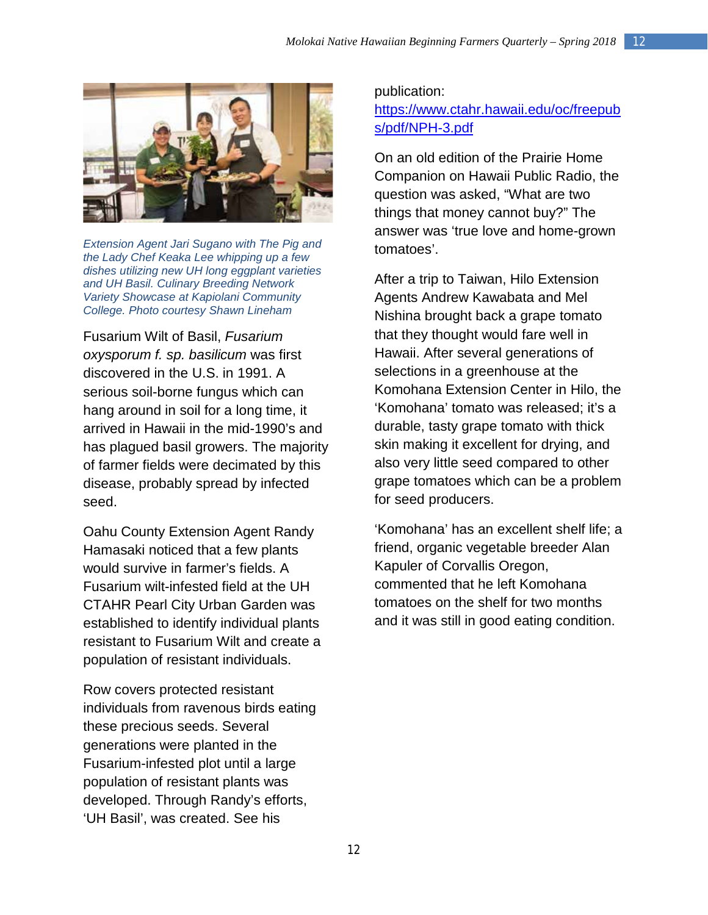

*Extension Agent Jari Sugano with The Pig and the Lady Chef Keaka Lee whipping up a few dishes utilizing new UH long eggplant varieties and UH Basil. Culinary Breeding Network Variety Showcase at Kapiolani Community College. Photo courtesy Shawn Lineham*

Fusarium Wilt of Basil, *Fusarium oxysporum f. sp. basilicum* was first discovered in the U.S. in 1991. A serious soil-borne fungus which can hang around in soil for a long time, it arrived in Hawaii in the mid-1990's and has plagued basil growers. The majority of farmer fields were decimated by this disease, probably spread by infected seed.

Oahu County Extension Agent Randy Hamasaki noticed that a few plants would survive in farmer's fields. A Fusarium wilt-infested field at the UH CTAHR Pearl City Urban Garden was established to identify individual plants resistant to Fusarium Wilt and create a population of resistant individuals.

Row covers protected resistant individuals from ravenous birds eating these precious seeds. Several generations were planted in the Fusarium-infested plot until a large population of resistant plants was developed. Through Randy's efforts, 'UH Basil', was created. See his

## publication:

[https://www.ctahr.hawaii.edu/oc/freepub](https://www.ctahr.hawaii.edu/oc/freepubs/pdf/NPH-3.pdf) [s/pdf/NPH-3.pdf](https://www.ctahr.hawaii.edu/oc/freepubs/pdf/NPH-3.pdf)

On an old edition of the Prairie Home Companion on Hawaii Public Radio, the question was asked, "What are two things that money cannot buy?" The answer was 'true love and home-grown tomatoes'.

After a trip to Taiwan, Hilo Extension Agents Andrew Kawabata and Mel Nishina brought back a grape tomato that they thought would fare well in Hawaii. After several generations of selections in a greenhouse at the Komohana Extension Center in Hilo, the 'Komohana' tomato was released; it's a durable, tasty grape tomato with thick skin making it excellent for drying, and also very little seed compared to other grape tomatoes which can be a problem for seed producers.

'Komohana' has an excellent shelf life; a friend, organic vegetable breeder Alan Kapuler of Corvallis Oregon, commented that he left Komohana tomatoes on the shelf for two months and it was still in good eating condition.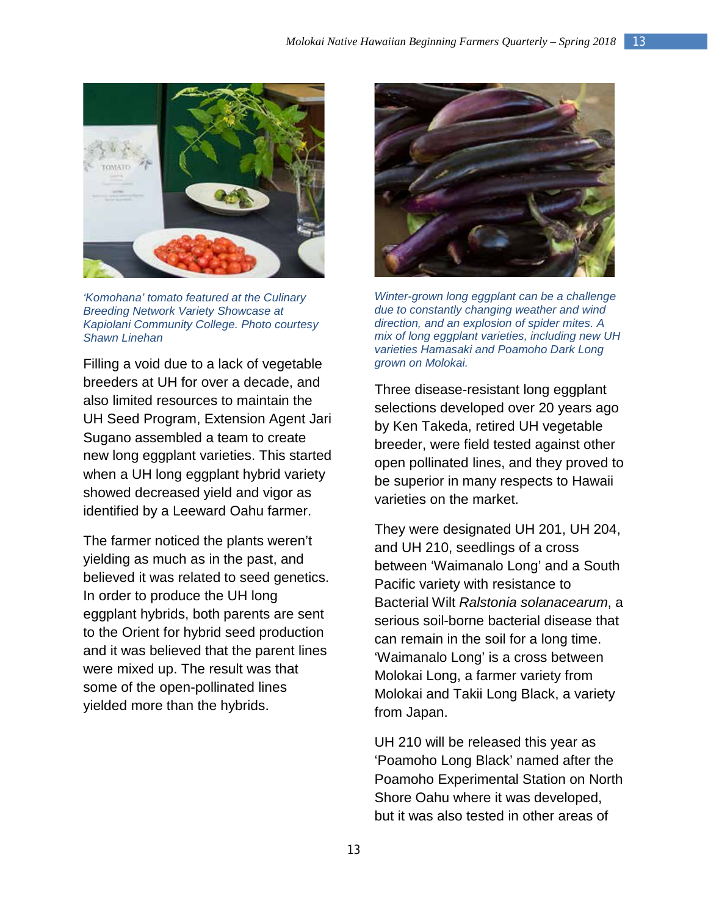

*'Komohana' tomato featured at the Culinary Breeding Network Variety Showcase at Kapiolani Community College. Photo courtesy Shawn Linehan*

Filling a void due to a lack of vegetable breeders at UH for over a decade, and also limited resources to maintain the UH Seed Program, Extension Agent Jari Sugano assembled a team to create new long eggplant varieties. This started when a UH long eggplant hybrid variety showed decreased yield and vigor as identified by a Leeward Oahu farmer.

The farmer noticed the plants weren't yielding as much as in the past, and believed it was related to seed genetics. In order to produce the UH long eggplant hybrids, both parents are sent to the Orient for hybrid seed production and it was believed that the parent lines were mixed up. The result was that some of the open-pollinated lines yielded more than the hybrids.



*Winter-grown long eggplant can be a challenge due to constantly changing weather and wind direction, and an explosion of spider mites. A mix of long eggplant varieties, including new UH varieties Hamasaki and Poamoho Dark Long grown on Molokai.*

Three disease-resistant long eggplant selections developed over 20 years ago by Ken Takeda, retired UH vegetable breeder, were field tested against other open pollinated lines, and they proved to be superior in many respects to Hawaii varieties on the market.

They were designated UH 201, UH 204, and UH 210, seedlings of a cross between 'Waimanalo Long' and a South Pacific variety with resistance to Bacterial Wilt *Ralstonia solanacearum*, a serious soil-borne bacterial disease that can remain in the soil for a long time. 'Waimanalo Long' is a cross between Molokai Long, a farmer variety from Molokai and Takii Long Black, a variety from Japan.

UH 210 will be released this year as 'Poamoho Long Black' named after the Poamoho Experimental Station on North Shore Oahu where it was developed, but it was also tested in other areas of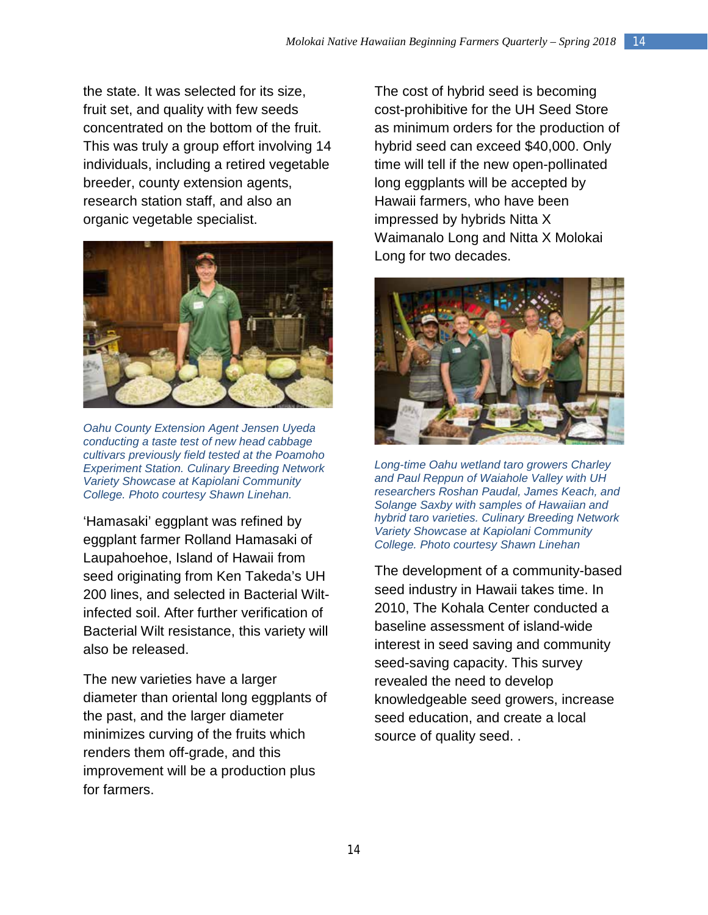the state. It was selected for its size, fruit set, and quality with few seeds concentrated on the bottom of the fruit. This was truly a group effort involving 14 individuals, including a retired vegetable breeder, county extension agents, research station staff, and also an organic vegetable specialist.



*Oahu County Extension Agent Jensen Uyeda conducting a taste test of new head cabbage cultivars previously field tested at the Poamoho Experiment Station. Culinary Breeding Network Variety Showcase at Kapiolani Community College. Photo courtesy Shawn Linehan.*

'Hamasaki' eggplant was refined by eggplant farmer Rolland Hamasaki of Laupahoehoe, Island of Hawaii from seed originating from Ken Takeda's UH 200 lines, and selected in Bacterial Wiltinfected soil. After further verification of Bacterial Wilt resistance, this variety will also be released.

The new varieties have a larger diameter than oriental long eggplants of the past, and the larger diameter minimizes curving of the fruits which renders them off-grade, and this improvement will be a production plus for farmers.

The cost of hybrid seed is becoming cost-prohibitive for the UH Seed Store as minimum orders for the production of hybrid seed can exceed \$40,000. Only time will tell if the new open-pollinated long eggplants will be accepted by Hawaii farmers, who have been impressed by hybrids Nitta X Waimanalo Long and Nitta X Molokai Long for two decades.



*Long-time Oahu wetland taro growers Charley and Paul Reppun of Waiahole Valley with UH researchers Roshan Paudal, James Keach, and Solange Saxby with samples of Hawaiian and hybrid taro varieties. Culinary Breeding Network Variety Showcase at Kapiolani Community College. Photo courtesy Shawn Linehan*

The development of a community-based seed industry in Hawaii takes time. In 2010, The Kohala Center conducted a baseline assessment of island-wide interest in seed saving and community seed-saving capacity. This survey revealed the need to develop knowledgeable seed growers, increase seed education, and create a local source of quality seed. .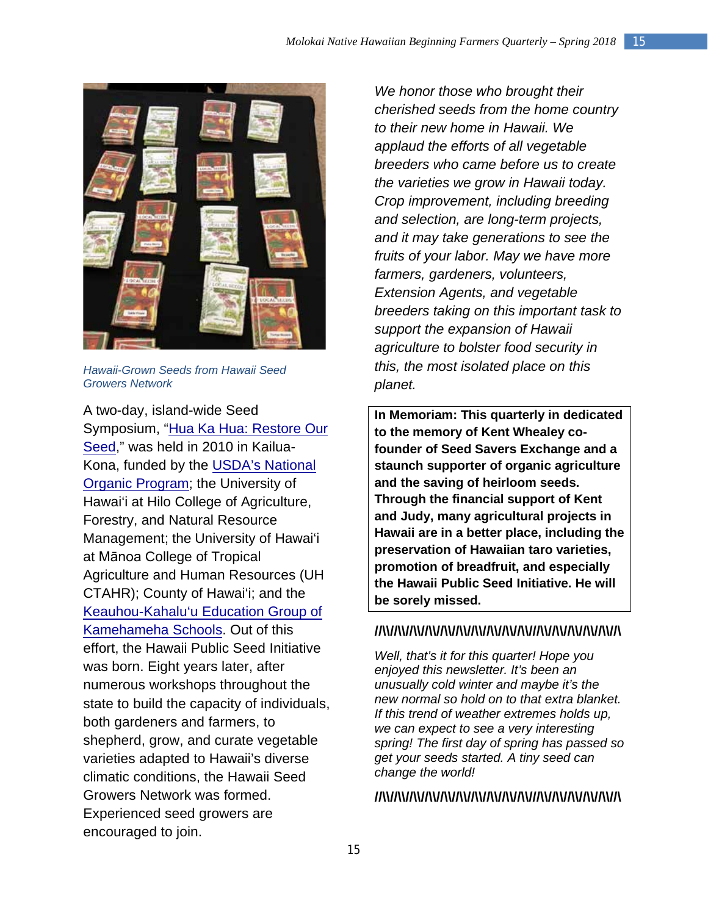

*Hawaii-Grown Seeds from Hawaii Seed Growers Network*

A two-day, island-wide Seed Symposium, ["Hua Ka Hua: Restore Our](http://kohalacenter.org/hpsi/seed-symposium)  [Seed,](http://kohalacenter.org/hpsi/seed-symposium)" was held in 2010 in Kailua-Kona, funded by [the USDA's National](http://www.ams.usda.gov/AMSv1.0/nop)  [Organic P](http://www.ams.usda.gov/AMSv1.0/nop)rogram; the [University of](http://hilo.hawaii.edu/academics/cafnrm/)  [Hawai'i at Hilo College of Agriculture,](http://hilo.hawaii.edu/academics/cafnrm/)  [Forestry, and Natural Resource](http://hilo.hawaii.edu/academics/cafnrm/)  Management; the [University of Hawai'i](http://www.ctahr.hawaii.edu/site/)  at Mānoa [College of Tropical](http://www.ctahr.hawaii.edu/site/)  [Agriculture](http://www.ctahr.hawaii.edu/site/) and Human R[esources \(UH](http://www.hawaiicounty.gov/)  [CTAHR](http://www.hawaiicounty.gov/)); County of [Hawai'i; and the](http://www.ksbe.edu/communityeducation/site/programs/post-high/keauhou_kahaluu_education_group/)  [Keauhou-Kahalu'u Education](http://www.ksbe.edu/communityeducation/site/programs/post-high/keauhou_kahaluu_education_group/) Group of [Kamehameha](http://www.ksbe.edu/communityeducation/site/programs/post-high/keauhou_kahaluu_education_group/) Schools. Out of this effort, the Hawaii Public Seed Initiative was born. Eight years later, after numerous workshops throughout the state to build the capacity of individuals, both gardeners and farmers, to shepherd, grow, and curate vegetable varieties adapted to Hawaii's diverse climatic conditions, the Hawaii Seed Growers Network was formed. Experienced seed growers are encouraged to join.

*We honor those who brought their cherished seeds from the home country to their new home in Hawaii. We applaud the efforts of all vegetable breeders who came before us to create the varieties we grow in Hawaii today. Crop improvement, including breeding and selection, are long-term projects, and it may take generations to see the fruits of your labor. May we have more farmers, gardeners, volunteers, Extension Agents, and vegetable breeders taking on this important task to support the expansion of Hawaii agriculture to bolster food security in this, the most isolated place on this planet.*

**In Memoriam: This quarterly in dedicated to the memory of Kent Whealey cofounder of Seed Savers Exchange and a staunch supporter of organic agriculture and the saving of heirloom seeds. Through the financial support of Kent and Judy, many agricultural projects in Hawaii are in a better place, including the preservation of Hawaiian taro varieties, promotion of breadfruit, and especially the Hawaii Public Seed Initiative. He will be sorely missed.** 

## **//\\//\\//\\//\\//\\//\\//\\//\\//\\//\\///\\//\\//\\//\\//\\//\**

*Well, that's it for this quarter! Hope you enjoyed this newsletter. It's been an unusually cold winter and maybe it's the new normal so hold on to that extra blanket. If this trend of weather extremes holds up, we can expect to see a very interesting spring! The first day of spring has passed so get your seeds started. A tiny seed can change the world!*

## **//\\//\\//\\//\\//\\//\\//\\//\\//\\//\\///\\//\\//\\//\\//\\//\**